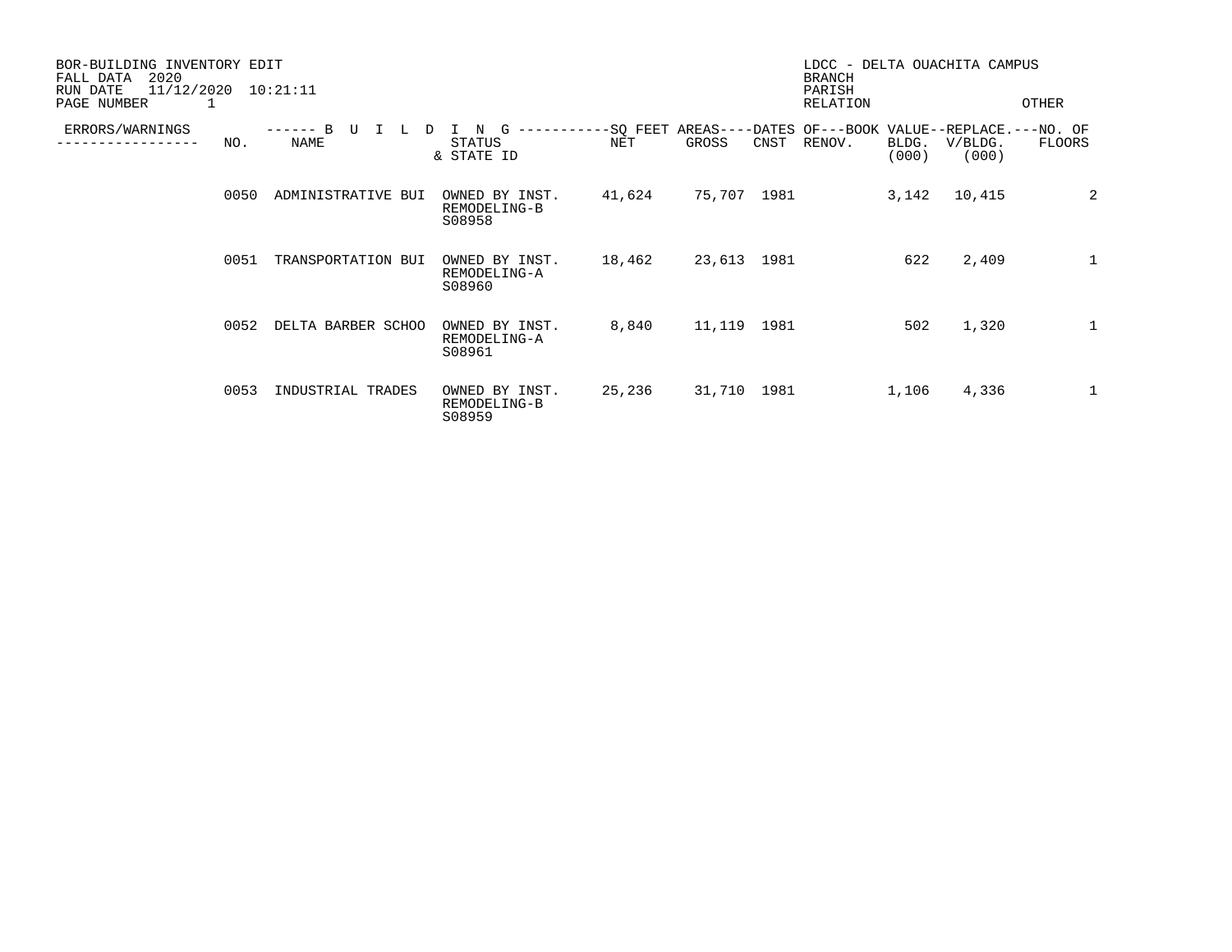| BOR-BUILDING INVENTORY EDIT<br>2020<br>FALL DATA<br>11/12/2020<br>RUN DATE<br>PAGE NUMBER |      | 10:21:11                       |                                                             |        |             |      | LDCC - DELTA OUACHITA CAMPUS<br><b>BRANCH</b><br>PARISH<br>RELATION |                |                  | OTHER        |
|-------------------------------------------------------------------------------------------|------|--------------------------------|-------------------------------------------------------------|--------|-------------|------|---------------------------------------------------------------------|----------------|------------------|--------------|
| ERRORS/WARNINGS                                                                           | NO.  | B<br>D<br>L<br>-------<br>NAME | -----------SQ FEET<br>N<br>G<br><b>STATUS</b><br>& STATE ID | NET    | GROSS       | CNST | AREAS----DATES OF---BOOK VALUE--REPLACE.---NO. OF<br>RENOV.         | BLDG.<br>(000) | V/BLDG.<br>(000) | FLOORS       |
|                                                                                           | 0050 | ADMINISTRATIVE BUI             | OWNED BY INST.<br>REMODELING-B<br>S08958                    | 41,624 | 75,707 1981 |      |                                                                     | 3,142          | 10,415           | 2            |
|                                                                                           | 0051 | TRANSPORTATION BUI             | OWNED BY INST.<br>REMODELING-A<br>S08960                    | 18,462 | 23,613 1981 |      |                                                                     | 622            | 2,409            | $\mathbf{1}$ |
|                                                                                           | 0052 | DELTA BARBER SCHOO             | OWNED BY INST.<br>REMODELING-A<br>S08961                    | 8,840  | 11,119 1981 |      |                                                                     | 502            | 1,320            | $\mathbf{1}$ |
|                                                                                           | 0053 | INDUSTRIAL TRADES              | OWNED BY INST.<br>REMODELING-B<br>S08959                    | 25,236 | 31,710 1981 |      |                                                                     | 1,106          | 4,336            | $\mathbf{1}$ |